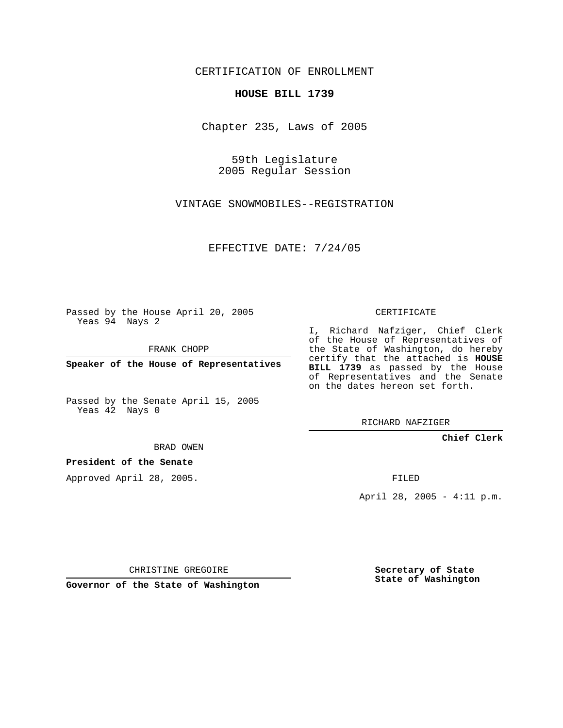CERTIFICATION OF ENROLLMENT

## **HOUSE BILL 1739**

Chapter 235, Laws of 2005

59th Legislature 2005 Regular Session

VINTAGE SNOWMOBILES--REGISTRATION

EFFECTIVE DATE: 7/24/05

Passed by the House April 20, 2005 Yeas 94 Nays 2

FRANK CHOPP

**Speaker of the House of Representatives**

Passed by the Senate April 15, 2005 Yeas 42 Nays 0

BRAD OWEN

**President of the Senate**

Approved April 28, 2005.

CERTIFICATE

I, Richard Nafziger, Chief Clerk of the House of Representatives of the State of Washington, do hereby certify that the attached is **HOUSE BILL 1739** as passed by the House of Representatives and the Senate on the dates hereon set forth.

RICHARD NAFZIGER

**Chief Clerk**

FILED

April 28, 2005 - 4:11 p.m.

CHRISTINE GREGOIRE

**Governor of the State of Washington**

**Secretary of State State of Washington**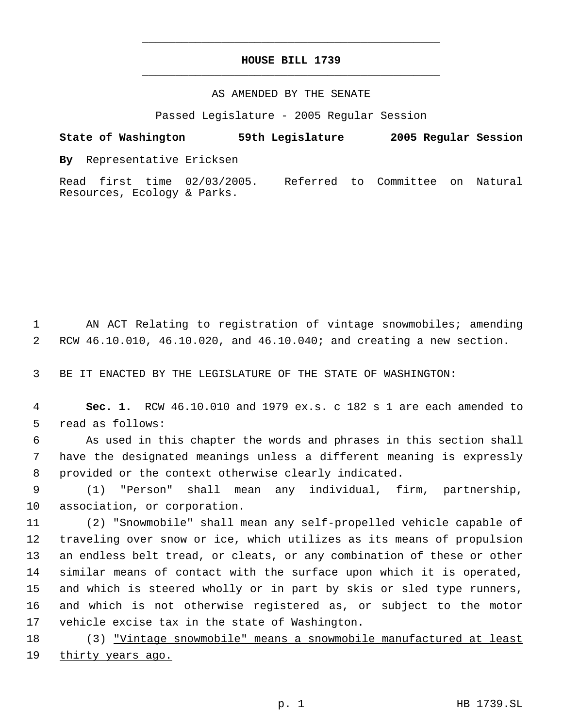## **HOUSE BILL 1739** \_\_\_\_\_\_\_\_\_\_\_\_\_\_\_\_\_\_\_\_\_\_\_\_\_\_\_\_\_\_\_\_\_\_\_\_\_\_\_\_\_\_\_\_\_

\_\_\_\_\_\_\_\_\_\_\_\_\_\_\_\_\_\_\_\_\_\_\_\_\_\_\_\_\_\_\_\_\_\_\_\_\_\_\_\_\_\_\_\_\_

## AS AMENDED BY THE SENATE

Passed Legislature - 2005 Regular Session

**State of Washington 59th Legislature 2005 Regular Session By** Representative Ericksen Read first time 02/03/2005. Referred to Committee on Natural

 AN ACT Relating to registration of vintage snowmobiles; amending RCW 46.10.010, 46.10.020, and 46.10.040; and creating a new section.

BE IT ENACTED BY THE LEGISLATURE OF THE STATE OF WASHINGTON:

Resources, Ecology & Parks.

 **Sec. 1.** RCW 46.10.010 and 1979 ex.s. c 182 s 1 are each amended to read as follows:

 As used in this chapter the words and phrases in this section shall have the designated meanings unless a different meaning is expressly provided or the context otherwise clearly indicated.

 (1) "Person" shall mean any individual, firm, partnership, association, or corporation.

 (2) "Snowmobile" shall mean any self-propelled vehicle capable of traveling over snow or ice, which utilizes as its means of propulsion an endless belt tread, or cleats, or any combination of these or other similar means of contact with the surface upon which it is operated, and which is steered wholly or in part by skis or sled type runners, and which is not otherwise registered as, or subject to the motor vehicle excise tax in the state of Washington.

 (3) "Vintage snowmobile" means a snowmobile manufactured at least 19 <u>thirty years ago.</u>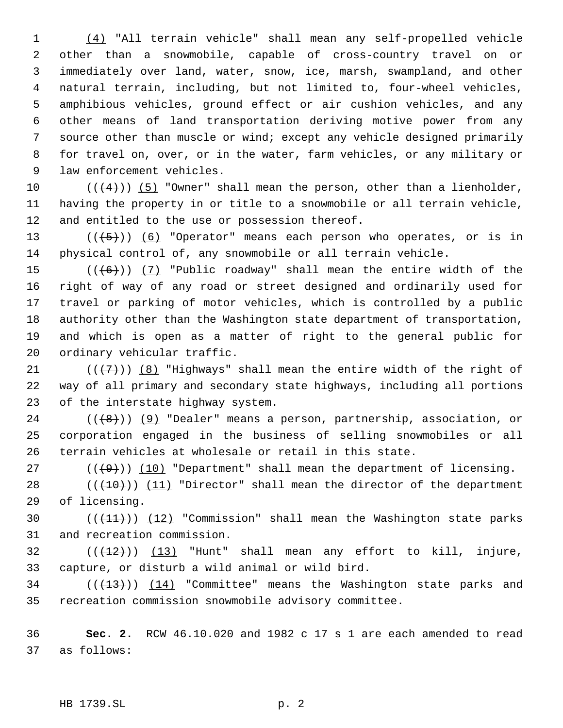(4) "All terrain vehicle" shall mean any self-propelled vehicle other than a snowmobile, capable of cross-country travel on or immediately over land, water, snow, ice, marsh, swampland, and other natural terrain, including, but not limited to, four-wheel vehicles, amphibious vehicles, ground effect or air cushion vehicles, and any other means of land transportation deriving motive power from any source other than muscle or wind; except any vehicle designed primarily for travel on, over, or in the water, farm vehicles, or any military or law enforcement vehicles.

10  $((4+))$  (5) "Owner" shall mean the person, other than a lienholder, having the property in or title to a snowmobile or all terrain vehicle, and entitled to the use or possession thereof.

13  $((+5))$   $(6)$  "Operator" means each person who operates, or is in physical control of, any snowmobile or all terrain vehicle.

 $((+6))$   $(7)$  "Public roadway" shall mean the entire width of the right of way of any road or street designed and ordinarily used for travel or parking of motor vehicles, which is controlled by a public authority other than the Washington state department of transportation, and which is open as a matter of right to the general public for ordinary vehicular traffic.

21 ( $(\langle 7 \rangle)$ ) (8) "Highways" shall mean the entire width of the right of way of all primary and secondary state highways, including all portions of the interstate highway system.

24  $((+8))$  (9) "Dealer" means a person, partnership, association, or corporation engaged in the business of selling snowmobiles or all terrain vehicles at wholesale or retail in this state.

27 ( $(\overline{+9})$ ) (10) "Department" shall mean the department of licensing. 28  $((+10))$   $(11)$  "Director" shall mean the director of the department

of licensing.

30  $((+11))$   $(12)$  "Commission" shall mean the Washington state parks and recreation commission.

32  $((+12))$  (13) "Hunt" shall mean any effort to kill, injure, capture, or disturb a wild animal or wild bird.

34 ( $(\overline{+3})$ )  $(14)$  "Committee" means the Washington state parks and recreation commission snowmobile advisory committee.

 **Sec. 2.** RCW 46.10.020 and 1982 c 17 s 1 are each amended to read as follows: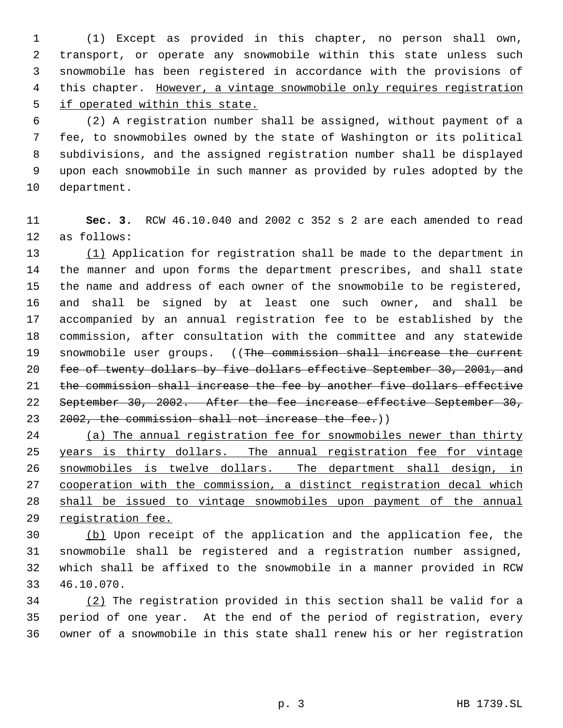(1) Except as provided in this chapter, no person shall own, transport, or operate any snowmobile within this state unless such snowmobile has been registered in accordance with the provisions of 4 this chapter. However, a vintage snowmobile only requires registration if operated within this state.

 (2) A registration number shall be assigned, without payment of a fee, to snowmobiles owned by the state of Washington or its political subdivisions, and the assigned registration number shall be displayed upon each snowmobile in such manner as provided by rules adopted by the department.

 **Sec. 3.** RCW 46.10.040 and 2002 c 352 s 2 are each amended to read as follows:

 (1) Application for registration shall be made to the department in the manner and upon forms the department prescribes, and shall state the name and address of each owner of the snowmobile to be registered, and shall be signed by at least one such owner, and shall be accompanied by an annual registration fee to be established by the commission, after consultation with the committee and any statewide 19 snowmobile user groups. ((The commission shall increase the current 20 fee of twenty dollars by five dollars effective September 30, 2001, and 21 the commission shall increase the fee by another five dollars effective September 30, 2002. After the fee increase effective September 30, 23 2002, the commission shall not increase the fee.))

 (a) The annual registration fee for snowmobiles newer than thirty 25 years is thirty dollars. The annual registration fee for vintage snowmobiles is twelve dollars. The department shall design, in cooperation with the commission, a distinct registration decal which shall be issued to vintage snowmobiles upon payment of the annual registration fee.

 (b) Upon receipt of the application and the application fee, the snowmobile shall be registered and a registration number assigned, which shall be affixed to the snowmobile in a manner provided in RCW 46.10.070.

 (2) The registration provided in this section shall be valid for a period of one year. At the end of the period of registration, every owner of a snowmobile in this state shall renew his or her registration